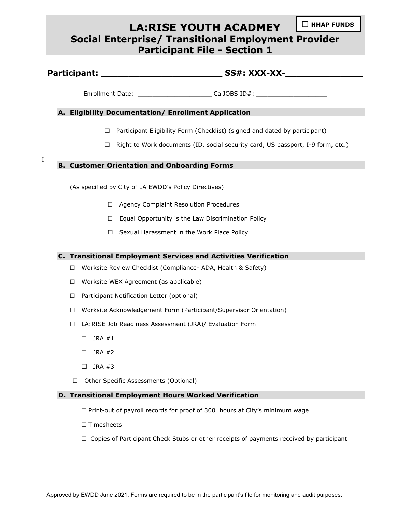# **LA:RISE YOUTH ACADMEY Social Enterprise/ Transitional Employment Provider Participant File - Section 1** ☐ **HHAP FUNDS**

| Participant: | SS#: XXX-XX- |
|--------------|--------------|
|              |              |

Enrollment Date: entitled and the CalJOBS ID#:

## **A. Eligibility Documentation/ Enrollment Application**

- $\Box$  Participant Eligibility Form (Checklist) (signed and dated by participant)
- $\Box$  Right to Work documents (ID, social security card, US passport, I-9 form, etc.)

# **B. Customer Orientation and Onboarding Forms**

(As specified by City of LA EWDD's Policy Directives)

- □ Agency Complaint Resolution Procedures
- $\Box$  Equal Opportunity is the Law Discrimination Policy
- $\Box$  Sexual Harassment in the Work Place Policy

### **C. Transitional Employment Services and Activities Verification**

- □ Worksite Review Checklist (Compliance- ADA, Health & Safety)
- $\Box$  Worksite WEX Agreement (as applicable)
- $\Box$  Participant Notification Letter (optional)
- $\Box$  Worksite Acknowledgement Form (Participant/Supervisor Orientation)
- □ LA:RISE Job Readiness Assessment (JRA)/ Evaluation Form
	- $\Box$  JRA #1

I

- $\Box$  JRA #2
- $\Box$  JRA #3
- □ Other Specific Assessments (Optional)

#### **D. Transitional Employment Hours Worked Verification**

- $\Box$  Print-out of payroll records for proof of 300 hours at City's minimum wage
- $\square$  Timesheets
- $\Box$  Copies of Participant Check Stubs or other receipts of payments received by participant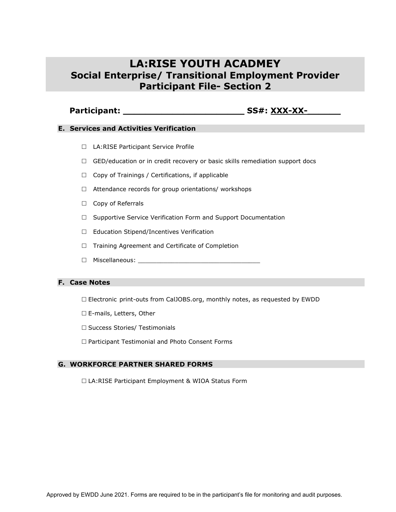# **LA:RISE YOUTH ACADMEY Social Enterprise/ Transitional Employment Provider Participant File- Section 2**

# **Participant: \_\_\_\_\_\_\_\_\_\_\_\_\_\_\_\_\_\_\_\_\_\_ SS#: XXX-XX-\_\_\_\_\_\_**

#### **E. Services and Activities Verification**

- □ LA:RISE Participant Service Profile
- □ GED/education or in credit recovery or basic skills remediation support docs
- $\Box$  Copy of Trainings / Certifications, if applicable
- $\Box$  Attendance records for group orientations/ workshops
- $\Box$  Copy of Referrals
- □ Supportive Service Verification Form and Support Documentation
- □ Education Stipend/Incentives Verification
- $\Box$  Training Agreement and Certificate of Completion
- $\Box$  Miscellaneous:

#### **F. Case Notes**

- $\Box$  Electronic print-outs from CalJOBS.org, monthly notes, as requested by EWDD
- □ E-mails, Letters, Other
- □ Success Stories/ Testimonials
- □ Participant Testimonial and Photo Consent Forms

## **G. WORKFORCE PARTNER SHARED FORMS**

□ LA:RISE Participant Employment & WIOA Status Form